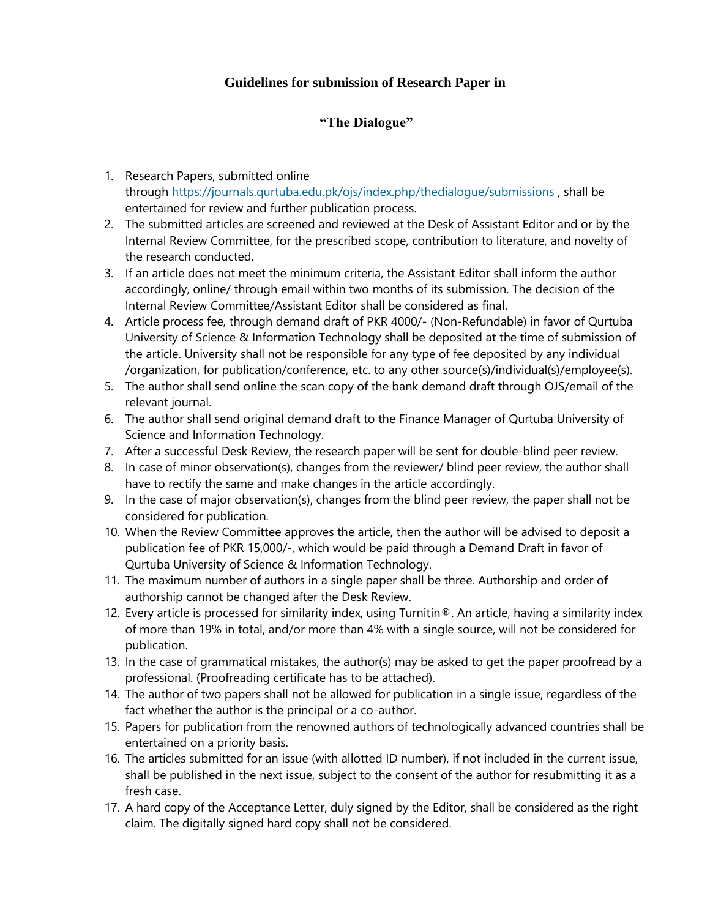## **Guidelines for submission of Research Paper in**

## **"The Dialogue"**

- 1. Research Papers, submitted online through <https://journals.qurtuba.edu.pk/ojs/index.php/thedialogue/submissions> , shall be entertained for review and further publication process.
- 2. The submitted articles are screened and reviewed at the Desk of Assistant Editor and or by the Internal Review Committee, for the prescribed scope, contribution to literature, and novelty of the research conducted.
- 3. If an article does not meet the minimum criteria, the Assistant Editor shall inform the author accordingly, online/ through email within two months of its submission. The decision of the Internal Review Committee/Assistant Editor shall be considered as final.
- 4. Article process fee, through demand draft of PKR 4000/- (Non-Refundable) in favor of Qurtuba University of Science & Information Technology shall be deposited at the time of submission of the article. University shall not be responsible for any type of fee deposited by any individual /organization, for publication/conference, etc. to any other source(s)/individual(s)/employee(s).
- 5. The author shall send online the scan copy of the bank demand draft through OJS/email of the relevant journal.
- 6. The author shall send original demand draft to the Finance Manager of Qurtuba University of Science and Information Technology.
- 7. After a successful Desk Review, the research paper will be sent for double-blind peer review.
- 8. In case of minor observation(s), changes from the reviewer/ blind peer review, the author shall have to rectify the same and make changes in the article accordingly.
- 9. In the case of major observation(s), changes from the blind peer review, the paper shall not be considered for publication.
- 10. When the Review Committee approves the article, then the author will be advised to deposit a publication fee of PKR 15,000/-, which would be paid through a Demand Draft in favor of Qurtuba University of Science & Information Technology.
- 11. The maximum number of authors in a single paper shall be three. Authorship and order of authorship cannot be changed after the Desk Review.
- 12. Every article is processed for similarity index, using Turnitin®. An article, having a similarity index of more than 19% in total, and/or more than 4% with a single source, will not be considered for publication.
- 13. In the case of grammatical mistakes, the author(s) may be asked to get the paper proofread by a professional. (Proofreading certificate has to be attached).
- 14. The author of two papers shall not be allowed for publication in a single issue, regardless of the fact whether the author is the principal or a co-author.
- 15. Papers for publication from the renowned authors of technologically advanced countries shall be entertained on a priority basis.
- 16. The articles submitted for an issue (with allotted ID number), if not included in the current issue, shall be published in the next issue, subject to the consent of the author for resubmitting it as a fresh case.
- 17. A hard copy of the Acceptance Letter, duly signed by the Editor, shall be considered as the right claim. The digitally signed hard copy shall not be considered.